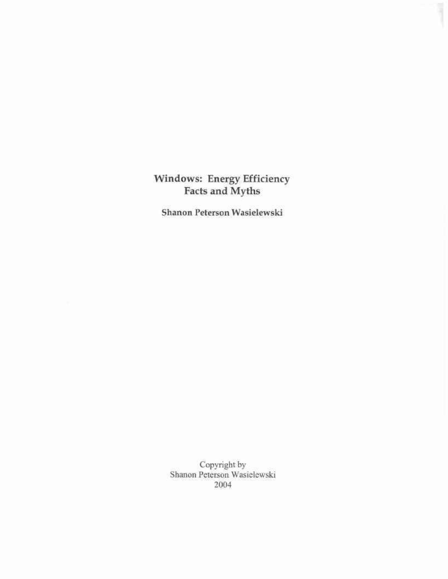**Windows: Energy Efficiency Facts and Myths** 

**Shanon Peterson Wasielewski** 

Copyright by Shanon Peterson Wasielewski 2004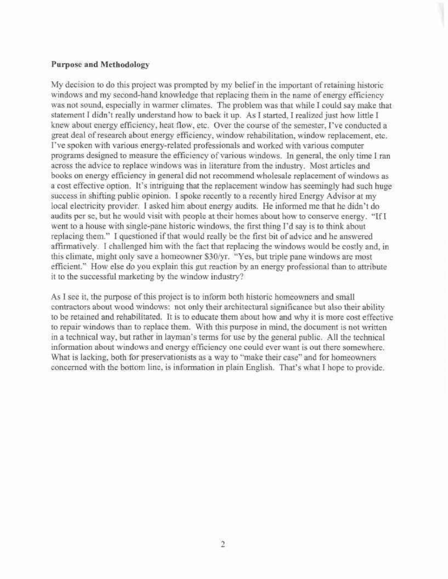### **Purpose and Methodology**

My decision to do this project was prompted by my belief in the important of retaining historic windows and my second-hand knowledge that replacing them in the name of energy efficiency was not sound, especially in warmer climates. The problem was that while I could say make that statement I didn't really understand how to back it up. As I started, I realized just how little I knew about energy efficiency, heat flow, etc. Over the course of the semester, I've conducted a great deal of research about energy efficiency, window rehabilitation, window replacement, etc. I've spoken with various energy-related professionals and worked with various computer programs designed to measure the efficiency of various windows. In general, the only time I ran across the advice to replace windows was in literature from the industry. Most articles and books on energy efficiency in general did not recommend wholesale replacement of windows as a cost effective option. It's intriguing that the replacement window has seemingly had such huge success in shifting public opinion. I spoke recently to a recently hired Energy Advisor at my local electricity provider. I asked him about energy audits. He informed me that he didn't do audits per se, but he would visit with people at their homes about how to conserve energy. "If I went to a house with single-pane historic windows, the first thing I'd say is to think about replacing them." I questioned if that would really be the first bit of advice and he answered affirmatively. I challenged him with the fact that replacing the windows would be costly and, in this climate, might only save a homeowner \$30/yr. "Yes, but triple pane windows are most efficient." How else do you explain this gut reaction by an energy professional than to attribute it to the successful marketing by the window industry?

As I see it, the purpose of this project is to inform both historic homeowners and small contractors about wood windows: not only their architectural significance but also their ability to be retained and rehabilitated. It is to educate them about how and why it is more cost effective to repair windows than to replace them. With this purpose in mind, the document is not written in a technical way, but rather in layman's terms for use by the general public. All the technical information about windows and energy efficiency one could ever want is out there somewhere. What is lacking, both for preservationists as a way to "make their case" and for homeowners concerned with the bottom line, is information in plain English. That's what I hope to provide.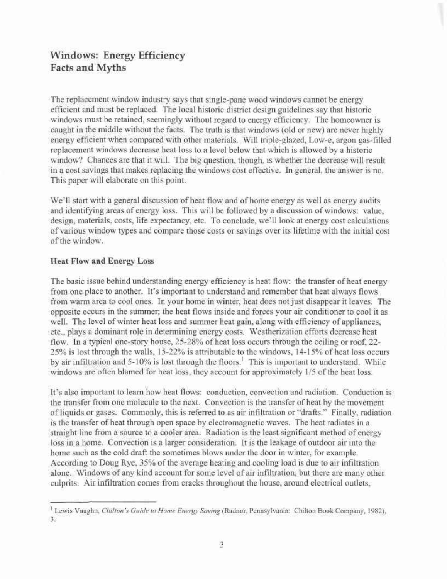# **Windows: Energy Efficiency Facts and Myths**

The replacement window industry says that single-pane wood windows cannot be energy efficient and must be replaced. The local historic district design guidelines say that historic windows must be retained, seemingly without regard to energy efficiency. The homeowner is caught in the middle without the facts. The truth is that windows (old or new) are never highly energy efficient when compared with other materials. Will triple-glazed, Low-e, argon gas-filled replacement windows decrease heat loss to a level below that which is allowed by a historic window? Chances are that it will. The big question, though, is whether the decrease will result in a cost savings that makes replacing the windows cost effective. In general, the answer is no. This paper will elaborate on this point.

We'll start with a general discussion of heat flow and of home energy as well as energy audits and identifying areas of energy loss. This will be followed by a discussion of windows: value, design, materials, costs, life expectancy, etc. To conclude, we'll look at energy cost calculations of various window types and compare those costs or savings over its lifetime with the initial cost of the window.

# **Heat Flow and Energy Loss**

The basic issue behind understanding energy efficiency is heat flow: the transfer of heat energy from one place to another. It's important to understand and remember that heat always flows from warm area to cool ones. In your home in winter, heat does not just disappear it leaves. The opposite occurs in the summer; the heat flows inside and forces your air conditioner to cool it as well. The level of winter heat loss and summer heat gain, along with efficiency of appliances, etc., plays a dominant role in determining energy costs. Weatherization efforts decrease heat flow. In a typical one-story house, 25-28% of heat loss occurs through the ceiling or roof, 22- 25% is lost through the walls, 15-22% is attributable to the windows, 14-15%) of heat loss occurs by air infiltration and 5-10% is lost through the floors.<sup>1</sup> This is important to understand. While windows are often blamed for heat loss, they account for approximately 1/5 of the heat loss.

It's also important to learn how heat flows: conduction, convection and radiation. Conduction is the transfer from one molecule to the next. Convection is the transfer of heat by the movement of liquids or gases. Commonly, this is referred to as air infiltration or "drafts." Finally, radiation is the transfer of heat through open space by electromagnetic waves. The heat radiates in a straight line from a source to a cooler area. Radiation is the least significant method of energy loss in a home. Convection is a larger consideration. It is the leakage of outdoor air into the home such as the cold draft the sometimes blows under the door in winter, for example. According to Doug Rye, 35% of the average heating and cooling load is due to air infiltration alone. Windows of any kind account for some level of air infiltration, but there are many other culprits. Air infiltration comes from cracks throughout the house, around electrical outlets,

<sup>1</sup> Lewis Vaughn, *Chilton's Guide to Home Energy Saving* (Radnor, Pennsylvania: Chilton Book Company, 1982), 3.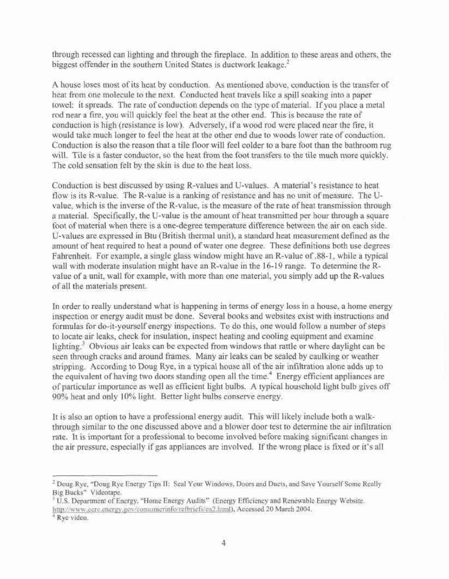through recessed can lighting and through the fireplace. In addition to these areas and others, the biggest offender in the southern United States is ductwork leakage.<sup>2</sup>

A house loses most of its heat by conduction. As mentioned above, conduction is the transfer of heat from one molecule to the next. Conducted heat travels like a spill soaking into a paper towel: it spreads. The rate of conduction depends on the type of material. If you place a metal rod near a fire, you will quickly feel the heat at the other end. This is because the rate of conduction is high (resistance is low). Adversely, if a wood rod were placed near the fire, it would take much longer to feel the heat at the other end due to woods lower rate of conduction. Conduction is also the reason that a tile floor will feel colder to a bare foot than the bathroom rug will. Tile is a faster conductor, so the heat from the foot transfers to the tile much more quickly. The cold sensation felt by the skin is due to the heat loss.

Conduction is best discussed by using R-values and U-values. A material's resistance to heat flow is its R-value. The R-value is a ranking of resistance and has no unit of measure. The Uvable, which is the inverse of the R-value, is the measure of the rate of heat transmission through a material. Specifically, the U-value is the amount of heat transmitted per hour through a square foot of material when there is a one-degree temperature difference between the air on each side. U-values are expressed in Btu (British thermal unit), a standard heat measurement defined as the amount of heat required to heat a pound of water one degree. These definitions both use degrees Fahrenheit. For example, a single glass window might have an R-value of .88-1, while a typical wall with moderate insulation might have an R-value in the 16-19 range. To determine the Rvalue of a unit, wall for example, with more than one material, you simply add up the R-values of all the materials present.

In order to really understand what is happening in terms of energy loss in a house, a home energy inspection or energy audit must be done. Several books and websites exist with instructions and formulas for do-it-yourself energy inspections. To do this, one would follow a number of steps to locate air leaks, check for insulation, inspect heating and cooling equipment and examine lighting.<sup>3</sup> Obvious air leaks can be expected from windows that rattle or where daylight can be seen through cracks and around frames. Many air leaks can be sealed by caulking or weather stripping. According to Doug Rye, in a typical house all of the air infiltration alone adds up to the equivalent of having two doors standing open all the time.<sup>4</sup> Energy efficient appliances are of particular importance as well as efficient light bulbs. A typical household light bulb gives off 90% heat and only 10% light. Better light bulbs conserve energy.

It is also an option to have a professional energy audit. This will likely include both a walkthrough similar to the one discussed above and a blower door test to determine the air infiltration rate. It is important for a professional to become involved before making significant changes in the air pressure, especially if gas appliances are involved. If the wrong place is fixed or it's all

<sup>&</sup>lt;sup>2</sup> Doug Rye, "Doug Rye Energy Tips II: Seal Your Windows, Doors and Ducts, and Save Yourself Some Really Big Bucks" Videotape.

<sup>&</sup>lt;sup>3</sup> U.S. Department of Energy, "Home Energy Audits" (Energy Efficiency and Renewable Energy Website. [http://www.eere.energy.gov/consumcrinfo/refbriefs/ea2.html\)](http://www.eere.energy.gov/consumcrinfo/refbriefs/ea2.html). Accessed 20 March 2004.

<sup>4</sup> Rye video.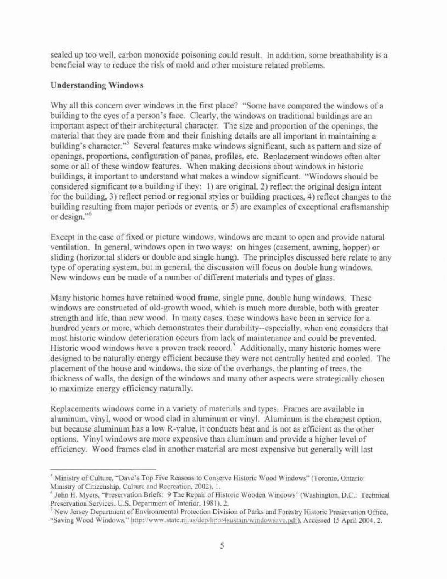sealed up too well, carbon monoxide poisoning could result. In addition, some breathability is a beneficial way to reduce the risk of mold and other moisture related problems.

# **Understanding Windows**

Why all this concern over windows in the first place? "Some have compared the windows of a building to the eyes of a person's face. Clearly, the windows on traditional buildings are an important aspect of their architectural character. The size and proportion of the openings, the material that they are made from and their finishing details are all important in maintaining a building's character."<sup>5</sup> Several features make windows significant, such as pattern and size of openings, proportions, configuration of panes, profiles, etc. Replacement windows often alter some or all of these window features. When making decisions about windows in historic buildings, it important to understand what makes a window significant. "Windows should be considered significant to a building if they: 1) are original, 2) reflect the original design intent for the building, 3) reflect period or regional styles or building practices, 4) reflect changes to the building resulting from major periods or events, or 5) are examples of exceptional craftsmanship or design."<sup>6</sup>

Except in the case of fixed or picture windows, windows are meant to open and provide natural ventilation. In general, windows open in two ways: on hinges (casement, awning, hopper) or sliding (horizontal sliders or double and single hung). The principles discussed here relate to any type of operating system, but in general, the discussion will focus on double hung windows. New windows can be made of a number of different materials and types of glass.

Many historic homes have retained wood frame, single pane, double hung windows. These windows are constructed of old-growth wood, which is much more durable, both with greater strength and life, than new wood. In many cases, these windows have been in service for a hundred years or more, which demonstrates their durability—especially, when one considers that most historic window deterioration occurs from lack of maintenance and could be prevented. Historic wood windows have a proven track record.<sup>7</sup> Additionally, many historic homes were designed to be naturally energy efficient because they were not centrally heated and cooled. The placement of the house and windows, the size of the overhangs, the planting of trees, the thickness of walls, the design of the windows and many other aspects were strategically chosen to maximize energy efficiency naturally.

Replacements windows come in a variety of materials and types. Frames are available in aluminum, vinyl, wood or wood clad in aluminum or vinyl. Aluminum is the cheapest option, but because aluminum has a low R-value, it conducts heat and is not as efficient as the other options. Vinyl windows are more expensive than aluminum and provide a higher level of efficiency. Wood frames clad in another material are most expensive but generally will last

<sup>&</sup>lt;sup>5</sup> Ministry of Culture, "Dave's Top Five Reasons to Conserve Historic Wood Windows" (Toronto, Ontario: Ministry of Citizenship, Culture and Recreation, 2002), 1.

<sup>6</sup> John H. Myers, "Preservation Briefs: 9 The Repair of Historic Wooden Windows" (Washington, D.C.: Technical Preservation Services, U.S. Department of Interior, 1981), 2.

<sup>&</sup>lt;sup>7</sup> New Jersey Department of Environmental Protection Division of Parks and Forestry Historic Preservation Office, "Saving Wood Windows," [http://www.state.ni.us/dep/hpo/4sustain/windowsavc.pdf\).](http://www.state.ni.us/dep/hpo/4sustain/windowsavc.pdf) Accessed 15 April 2004,2.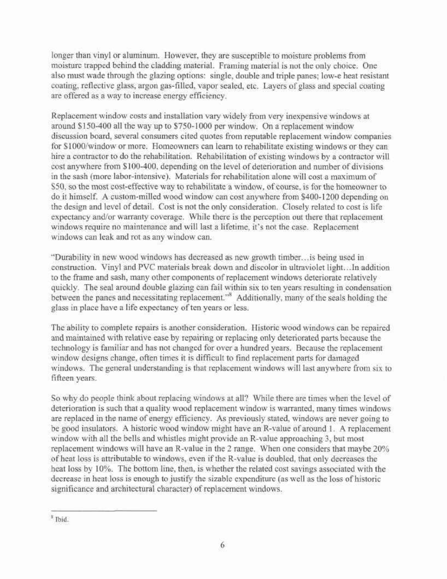longer than vinyl or aluminum. However, they are susceptible to moisture problems from moisture trapped behind the cladding material. Framing material is not the only choice. One also must wade through the glazing options: single, double and triple panes; low-e heat resistant coating, reflective glass, argon gas-filled, vapor sealed, etc. Layers of glass and special coating are offered as a way to increase energy efficiency.

Replacement window costs and installation vary widely from very inexpensive windows at around \$150-400 all the way up to \$750-1000 per window. On a replacement window discussion board, several consumers cited quotes from reputable replacement window companies for \$1000/window or more. Homeowners can learn to rehabilitate existing windows or they can hire a contractor to do the rehabilitation. Rehabilitation of existing windows by a contractor will cost anywhere from \$100-400, depending on the level of deterioration and number of divisions in the sash (more labor-intensive). Materials for rehabilitation alone will cost a maximum of S50, so the most cost-effective way to rehabilitate a window, of course, is for the homeowner to do it himself. A custom-milled wood window can cost anywhere from \$400-1200 depending on the design and level of detail. Cost is not the only consideration. Closely related to cost is life expectancy and/or warranty coverage. While there is the perception out there that replacement windows require no maintenance and will last a lifetime, it's not the case. Replacement windows can leak and rot as any window can.

"Durability in new wood windows has decreased as new growth timber.. .is being used in construction. Vinyl and PVC materials break down and discolor in ultraviolet light.. .In addition to the frame and sash, many other components of replacement windows deteriorate relatively quickly. The seal around double glazing can fail within six to ten years resulting in condensation between the panes and necessitating replacement.<sup>88</sup> Additionally, many of the seals holding the glass in place have a life expectancy of ten years or less.

The ability to complete repairs is another consideration. Historic wood windows can be repaired and maintained with relative ease by repairing or replacing only deteriorated parts because the technology is familiar and has not changed for over a hundred years. Because the replacement window designs change, often times it is difficult to find replacement parts for damaged windows. The general understanding is that replacement windows will last anywhere from six to fifteen years.

So why do people think about replacing windows at all? While there are times when the level of deterioration is such that a quality wood replacement window is warranted, many times windows are replaced in the name of energy efficiency. As previously stated, windows are never going to be good insulators. A historic wood window might have an R-value of around 1. A replacement window with all the bells and whistles might provide an R-value approaching 3, but most replacement windows will have an R-value in the 2 range. When one considers that maybe 20% of heat loss is attributable to windows, even if the R-value is doubled, that only decreases the heat loss by 10%. The bottom line, then, is whether the related cost savings associated with the decrease in heat loss is enough to justify the sizable expenditure (as well as the loss of historic significance and architectural character) of replacement windows.

<sup>&</sup>lt;sup>8</sup> Ibid.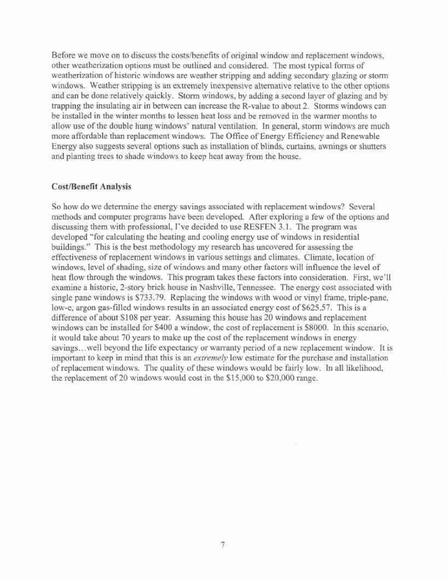Before we move on to discuss the costs/benefits of original window and replacement windows, other weatherization options must be outlined and considered. The most typical forms of weatherization of historic windows are weather stripping and adding secondary glazing or storm windows. Weather stripping is an extremely inexpensive alternative relative to the other options and can be done relatively quickly. Storm windows, by adding a second layer of glazing and by trapping the insulating air in between can increase the R-value to about 2. Storms windows can be installed in the winter months to lessen heat loss and be removed in the warmer months to allow use of the double hung windows' natural ventilation. In general, storm windows are much more affordable than replacement windows. The Office of Energy Efficiency and Renewable Energy also suggests several options such as installation of blinds, curtains, awnings or shutters and planting trees to shade windows to keep heat away from the house.

#### **Cost/Benefit Analysis**

So how do we determine the energy savings associated with replacement windows? Several methods and computer programs have been developed. After exploring a few of the options and discussing them with professional, I've decided to use RESFEN 3.1. The program was developed "for calculating the heating and cooling energy use of windows in residential buildings." This is the best methodology my research has uncovered for assessing the effectiveness of replacement windows in various settings and climates. Climate, location of windows, level of shading, size of windows and many other factors will influence the level of heat flow through the windows. This program takes these factors into consideration. First, we'll examine a historic, 2-story brick house in Nashville, Tennessee. The energy cost associated with single pane windows is \$733.79. Replacing the windows with wood or vinyl frame, triple-pane, low-e, argon gas-filled windows results in an associated energy cost of \$625.57. This is a difference of about S108 per year. Assuming this house has 20 windows and replacement windows can be installed for \$400 a window, the cost of replacement is \$8000. In this scenario, it would take about 70 years to make up the cost of the replacement windows in energy savings...well beyond the life expectancy or warranty period of a new replacement window. It is important to keep in mind that this is an *extremely* low estimate for the purchase and installation of replacement windows. The quality of these windows would be fairly low. In all likelihood, the replacement of 20 windows would cost in the \$15,000 to \$20,000 range.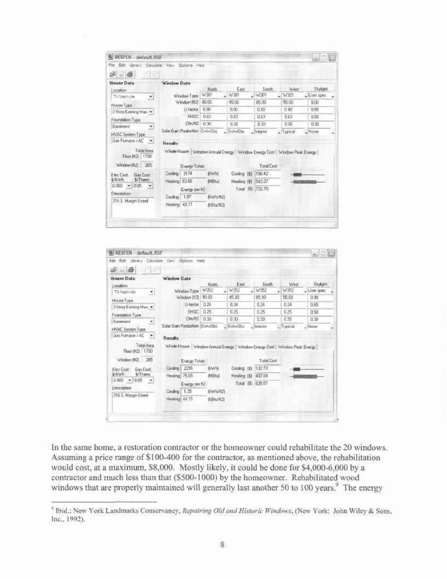| 68 画<br><b>House Data</b>                                 | Window Data                                                                                   |               |                   |                   |               |                           |
|-----------------------------------------------------------|-----------------------------------------------------------------------------------------------|---------------|-------------------|-------------------|---------------|---------------------------|
| Location<br>Thi frashvile<br>因                            | Window Tape                                                                                   | North<br>W301 | East<br>$-W301$   | South.<br>W301    | West<br>W301  | Skylight<br>$-U$ sei spec |
| House Type<br>2-Story Existing Mas =                      | Window [It2]<br>Li-Factor                                                                     | 80.00<br>0.90 | 45.00<br>0.93     | 05.00<br>自引       | 55.00<br>0.90 | 8.00<br>0.65              |
| Foundation Type                                           | SHEE<br>ClnvH2                                                                                | 0.63<br>0.30  | 0.63<br>0.30      | 0.63<br>0.50      | 0.63<br>在第    | 0.50<br>0.30              |
| Barement<br>۰.<br>HVAC System Type                        | Solar Gam Reduction Cyn+Obs                                                                   |               | DylviObs          | Interor           | $-$ Typical   | - None                    |
| Gas Funnace / AC<br>因                                     | <b>Rendts</b>                                                                                 |               |                   |                   |               |                           |
| Total Anna<br>1708<br>Floor III:21<br>Window (IL2)<br>265 | Whole House   Window Annual Energy   Window Energy Cost   Window Peak Energy<br>Energy Totals |               |                   | <b>Total Cost</b> |               |                           |
| Gas Cost                                                  | 3174<br>Docling                                                                               | <b>IEWH!</b>  | Cookng ISI 190.42 |                   |               |                           |
| \$/Them                                                   | Heating 83.60                                                                                 | <b>IMBILI</b> | Heating III       | 54337             |               |                           |
| First Cost<br>\$/kWh<br>$0.060 - 0.65$<br>Description     | Energy per H2                                                                                 |               |                   | Total (\$) 732.79 |               |                           |

|                                                                 | Window Date                                                                  | Nom.         | East          | <b>South</b>     | West      | Skylight                 |
|-----------------------------------------------------------------|------------------------------------------------------------------------------|--------------|---------------|------------------|-----------|--------------------------|
| Location<br>TIL Nestrulle                                       | Window Type                                                                  | W352         | $-W362$       | $-W352$          | W352<br>÷ | $\frac{1}{2}$ liter spec |
| 츠                                                               | Window (ItZ)                                                                 | 31.00        | 45.00         | 85.00            | 55.00     | 0.00                     |
| Иоле Туре<br>2-Story Essting Mac                                | LI-Factor                                                                    | 0.24         | 0.34          | 0.24             | 0.24      | 0.65                     |
| Foundation Type:                                                | SHOC                                                                         | 0.25         | 0.25          | 0.25             | 0.25      | Q5B                      |
| Becomment<br>z.                                                 | DW/II2                                                                       | 0.30         | 0.30          | 0.30             | 0.30      | 0.30                     |
| <b>HVAC System Type</b><br>Gas Furnace / AC<br>$\blacksquare$   | Solar Gan Fieduction (DytwObe)<br>Results                                    |              | -10 whether   | $-$ lintescr     | L'Ispical | $-$ None                 |
| Total Anta<br>Floor (H2)<br>1700                                | Whole House   Window Annual Energy   Window Energy Cost   Window Peak Energy |              |               |                  |           |                          |
|                                                                 |                                                                              |              |               |                  |           |                          |
| Window [R2]<br>$-265$                                           | Energy Totels                                                                |              |               | Total Davi       |           |                          |
| Flee Crist<br><b>Gan Cost</b>                                   | 2296<br>Conting                                                              | <b>INVII</b> | Cooking ISI   | 137.73           |           |                          |
| $1/1$ l enni                                                    | Healing 75.05                                                                | MBtul        | Heaters [\$1] | 487.84           |           |                          |
|                                                                 | Energy per R2                                                                |              |               | Total 151 625.57 |           |                          |
| \$/kWh<br>$0.060 - 0.65$<br>Description<br>319 S. Margin Street | Conting 1.35                                                                 | BOV/6/1021   |               |                  |           |                          |

In the same home, a restoration contractor or the homeowner could rehabilitate the 20 windows. Assuming a price range of \$100-400 for the contractor, as mentioned above, the rehabilitation would cost, at a maximum, S8,000. Mostly likely, it could be done for \$4,000-6,000 by a contractor and much less than that (\$500-1000) by the homeowner. Rehabilitated wood windows that are properly maintained will generally last another 50 to 100 years.<sup>9</sup> The energy

<sup>9</sup> Ibid.; New York Landmarks Conservancy, *Repairing Old and Historic Windows,* (New York: John Wiley & Sons, Inc., 1992).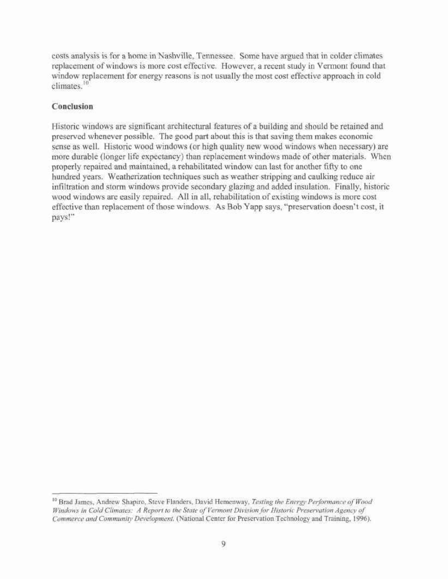costs analysis is for a home in Nashville, Tennessee. Some have argued that in colder climates replacement of windows is more cost effective. However, a recent study in Vermont found that window replacement for energy reasons is not usually the most cost effective approach in cold climates.<sup>10</sup>

# **Conclusion**

Historic windows are significant architectural features of a building and should be retained and preserved whenever possible. The good part about this is that saving them makes economic sense as well. Historic wood windows (or high quality new wood windows when necessary) are more durable (longer life expectancy) than replacement windows made of other materials. When properly repaired and maintained, a rehabilitated window can last for another fifty to one hundred years. Weatherization techniques such as weather stripping and caulking reduce air infiltration and storm windows provide secondary glazing and added insulation. Finally, historic wood windows are easily repaired. All in all, rehabilitation of existing windows is more cost effective than replacement of those windows. As Bob Yapp says, "preservation doesn't cost, it pays!"

<sup>10</sup> Brad James, Andrew Shapiro, Steve Flanders, David Hemenway, *Testing the Energy Performance of Wood Windows in Cold Climates: A Report to the State of Vermont Division for Historic Preservation Agency of Commerce and Community Development,* (National Center for Preservation Technology and Training, 1996).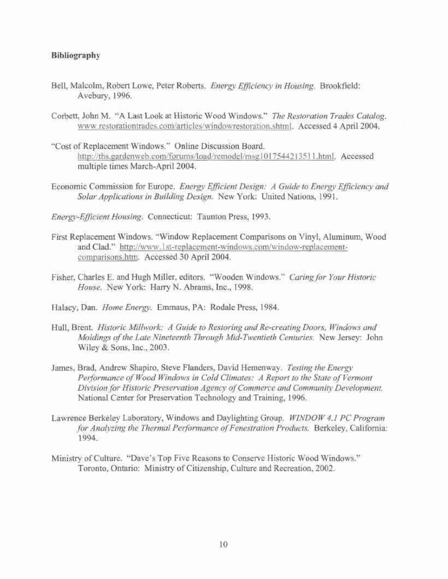## **Bibliography**

- Bell, Malcolm, Robert Lowe, Peter Roberts. *Energy Efficiency in Housing.* Brookfield: Avebury, 1996.
- Corbett, John M. "A Last Look at Historic Wood Windows." *The Restoration Trades Catalog.*  [www.restorationtrades.com/articles/windowrestoration.shtml.](http://www.restorationtrades.com/articles/windowrestoration.shtml) Accessed 4 April 2004.
- "Cost of Replacement Windows." Online Discussion Board. <http://ths.gardenweb.com/forums/load/remodel/msgl01754421351>l.html. Accessed multiple times March-April 2004.
- Economic Commission for Europe. *Energy Efficient Design: A Guide to Energy Efficiency and Solar Applications in Building Design.* New York: United Nations, 1991.
- *Energy-Efficient Housing.* Connecticut: Taunton Press, 1993.
- First Replacement Windows. "Window Replacement Comparisons on Vinyl, Aluminum, Wood and Clad." [http://www.lst-replacement-windows.com/window-replacement](http://www.lst-replacement-windows.com/window-replacement-)comparisons.htm. Accessed 30 April 2004.
- Fisher, Charles E. and Hugh Miller, editors. "Wooden Windows." *Caring for Your Historic House.* New York: Harry N. Abrams, Inc., 1998.
- Halacy, Dan. *Home Energy.* Emmaus, PA: Rodale Press, 1984.
- Hull, Brent. *Historic Millwork: A Guide to Restoring and Re-creating Doors, Windows and Moldings of the Late Nineteenth Through Mid-Twentieth Centuries.* New Jersey: John Wiley & Sons, Inc., 2003.
- James, Brad, Andrew Shapiro, Steve Flanders, David Hemenway. *Testing the Energy*  Performance of Wood Windows in Cold Climates: A Report to the State of Vermont *Division for Historic Preservation Agency of Commerce and Community Development.*  National Center for Preservation Technology and Training, 1996.
- Lawrence Berkeley Laboratory, Windows and Daylighting Group. *WINDOW 4.1 PC Program for Analyzing the Thermal Performance of Fenestration Products.* Berkeley, California: 1994.
- Ministry of Culture. "Dave's Top Five Reasons to Conserve Historic Wood Windows." Toronto, Ontario: Ministry of Citizenship, Culture and Recreation, 2002.